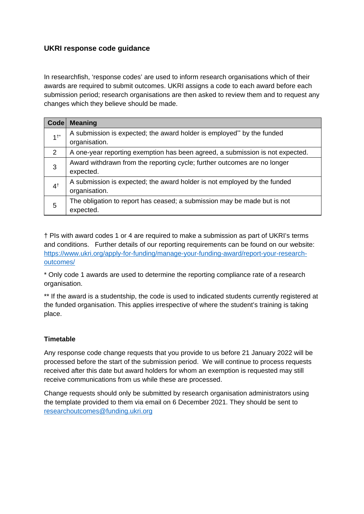# **UKRI response code guidance**

In researchfish, 'response codes' are used to inform research organisations which of their awards are required to submit outcomes. UKRI assigns a code to each award before each submission period; research organisations are then asked to review them and to request any changes which they believe should be made.

| <b>Code</b>    | <b>Meaning</b>                                                                            |  |  |
|----------------|-------------------------------------------------------------------------------------------|--|--|
| 1 <sup>†</sup> | A submission is expected; the award holder is employed* by the funded<br>organisation.    |  |  |
| 2              | A one-year reporting exemption has been agreed, a submission is not expected.             |  |  |
| 3              | Award withdrawn from the reporting cycle; further outcomes are no longer<br>expected.     |  |  |
| 4 <sup>†</sup> | A submission is expected; the award holder is not employed by the funded<br>organisation. |  |  |
| 5              | The obligation to report has ceased; a submission may be made but is not<br>expected.     |  |  |

† PIs with award codes 1 or 4 are required to make a submission as part of UKRI's terms and conditions. Further details of our reporting requirements can be found on our website: [https://www.ukri.org/apply-for-funding/manage-your-funding-award/report-your-research](https://www.ukri.org/apply-for-funding/manage-your-funding-award/report-your-research-outcomes/)[outcomes/](https://www.ukri.org/apply-for-funding/manage-your-funding-award/report-your-research-outcomes/)

\* Only code 1 awards are used to determine the reporting compliance rate of a research organisation.

\*\* If the award is a studentship, the code is used to indicated students currently registered at the funded organisation. This applies irrespective of where the student's training is taking place.

# **Timetable**

Any response code change requests that you provide to us before 21 January 2022 will be processed before the start of the submission period. We will continue to process requests received after this date but award holders for whom an exemption is requested may still receive communications from us while these are processed.

Change requests should only be submitted by research organisation administrators using the template provided to them via email on 6 December 2021. They should be sent to [researchoutcomes@funding.ukri.org](mailto:researchoutcomes@funding.ukri.org)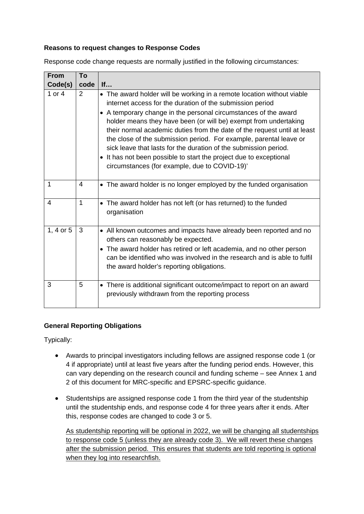### **Reasons to request changes to Response Codes**

Response code change requests are normally justified in the following circumstances:

| <b>From</b> | To           |                                                                                                                                                                                                                                                                                                                                                                                                                                                                                                                                                                                                                         |
|-------------|--------------|-------------------------------------------------------------------------------------------------------------------------------------------------------------------------------------------------------------------------------------------------------------------------------------------------------------------------------------------------------------------------------------------------------------------------------------------------------------------------------------------------------------------------------------------------------------------------------------------------------------------------|
| Code(s)     | code         | If                                                                                                                                                                                                                                                                                                                                                                                                                                                                                                                                                                                                                      |
| 1 or $4$    | 2            | • The award holder will be working in a remote location without viable<br>internet access for the duration of the submission period<br>• A temporary change in the personal circumstances of the award<br>holder means they have been (or will be) exempt from undertaking<br>their normal academic duties from the date of the request until at least<br>the close of the submission period. For example, parental leave or<br>sick leave that lasts for the duration of the submission period.<br>• It has not been possible to start the project due to exceptional<br>circumstances (for example, due to COVID-19)' |
| 1           | 4            | • The award holder is no longer employed by the funded organisation                                                                                                                                                                                                                                                                                                                                                                                                                                                                                                                                                     |
| 4           | $\mathbf{1}$ | • The award holder has not left (or has returned) to the funded<br>organisation                                                                                                                                                                                                                                                                                                                                                                                                                                                                                                                                         |
| 1, 4 or 5   | 3            | • All known outcomes and impacts have already been reported and no<br>others can reasonably be expected.<br>• The award holder has retired or left academia, and no other person<br>can be identified who was involved in the research and is able to fulfil<br>the award holder's reporting obligations.                                                                                                                                                                                                                                                                                                               |
| 3           | 5            | • There is additional significant outcome/impact to report on an award<br>previously withdrawn from the reporting process                                                                                                                                                                                                                                                                                                                                                                                                                                                                                               |

# **General Reporting Obligations**

Typically:

- Awards to principal investigators including fellows are assigned response code 1 (or 4 if appropriate) until at least five years after the funding period ends. However, this can vary depending on the research council and funding scheme – see Annex 1 and 2 of this document for MRC-specific and EPSRC-specific guidance.
- Studentships are assigned response code 1 from the third year of the studentship until the studentship ends, and response code 4 for three years after it ends. After this, response codes are changed to code 3 or 5.

As studentship reporting will be optional in 2022, we will be changing all studentships to response code 5 (unless they are already code 3). We will revert these changes after the submission period. This ensures that students are told reporting is optional when they log into researchfish.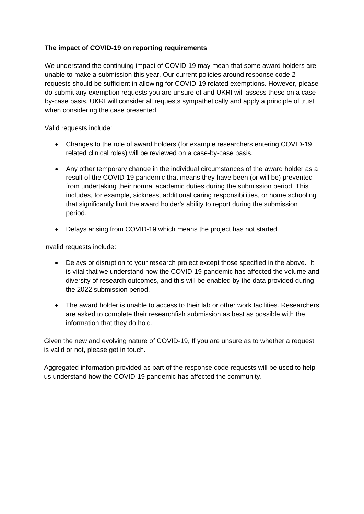### **The impact of COVID-19 on reporting requirements**

We understand the continuing impact of COVID-19 may mean that some award holders are unable to make a submission this year. Our current policies around response code 2 requests should be sufficient in allowing for COVID-19 related exemptions. However, please do submit any exemption requests you are unsure of and UKRI will assess these on a caseby-case basis. UKRI will consider all requests sympathetically and apply a principle of trust when considering the case presented.

Valid requests include:

- Changes to the role of award holders (for example researchers entering COVID-19 related clinical roles) will be reviewed on a case-by-case basis.
- Any other temporary change in the individual circumstances of the award holder as a result of the COVID-19 pandemic that means they have been (or will be) prevented from undertaking their normal academic duties during the submission period. This includes, for example, sickness, additional caring responsibilities, or home schooling that significantly limit the award holder's ability to report during the submission period.
- Delays arising from COVID-19 which means the project has not started.

Invalid requests include:

- Delays or disruption to your research project except those specified in the above. It is vital that we understand how the COVID-19 pandemic has affected the volume and diversity of research outcomes, and this will be enabled by the data provided during the 2022 submission period.
- The award holder is unable to access to their lab or other work facilities. Researchers are asked to complete their researchfish submission as best as possible with the information that they do hold.

Given the new and evolving nature of COVID-19, If you are unsure as to whether a request is valid or not, please get in touch.

Aggregated information provided as part of the response code requests will be used to help us understand how the COVID-19 pandemic has affected the community.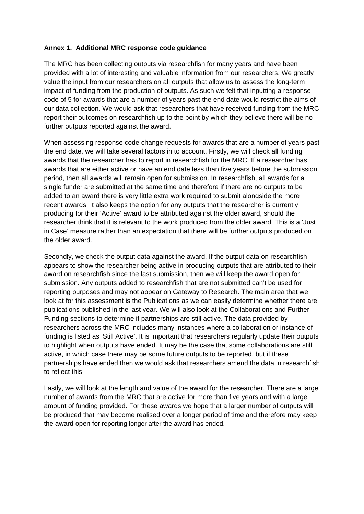#### **Annex 1. Additional MRC response code guidance**

The MRC has been collecting outputs via researchfish for many years and have been provided with a lot of interesting and valuable information from our researchers. We greatly value the input from our researchers on all outputs that allow us to assess the long-term impact of funding from the production of outputs. As such we felt that inputting a response code of 5 for awards that are a number of years past the end date would restrict the aims of our data collection. We would ask that researchers that have received funding from the MRC report their outcomes on researchfish up to the point by which they believe there will be no further outputs reported against the award.

When assessing response code change requests for awards that are a number of years past the end date, we will take several factors in to account. Firstly, we will check all funding awards that the researcher has to report in researchfish for the MRC. If a researcher has awards that are either active or have an end date less than five years before the submission period, then all awards will remain open for submission. In researchfish, all awards for a single funder are submitted at the same time and therefore if there are no outputs to be added to an award there is very little extra work required to submit alongside the more recent awards. It also keeps the option for any outputs that the researcher is currently producing for their 'Active' award to be attributed against the older award, should the researcher think that it is relevant to the work produced from the older award. This is a 'Just in Case' measure rather than an expectation that there will be further outputs produced on the older award.

Secondly, we check the output data against the award. If the output data on researchfish appears to show the researcher being active in producing outputs that are attributed to their award on researchfish since the last submission, then we will keep the award open for submission. Any outputs added to researchfish that are not submitted can't be used for reporting purposes and may not appear on Gateway to Research. The main area that we look at for this assessment is the Publications as we can easily determine whether there are publications published in the last year. We will also look at the Collaborations and Further Funding sections to determine if partnerships are still active. The data provided by researchers across the MRC includes many instances where a collaboration or instance of funding is listed as 'Still Active'. It is important that researchers regularly update their outputs to highlight when outputs have ended. It may be the case that some collaborations are still active, in which case there may be some future outputs to be reported, but if these partnerships have ended then we would ask that researchers amend the data in researchfish to reflect this.

Lastly, we will look at the length and value of the award for the researcher. There are a large number of awards from the MRC that are active for more than five years and with a large amount of funding provided. For these awards we hope that a larger number of outputs will be produced that may become realised over a longer period of time and therefore may keep the award open for reporting longer after the award has ended.